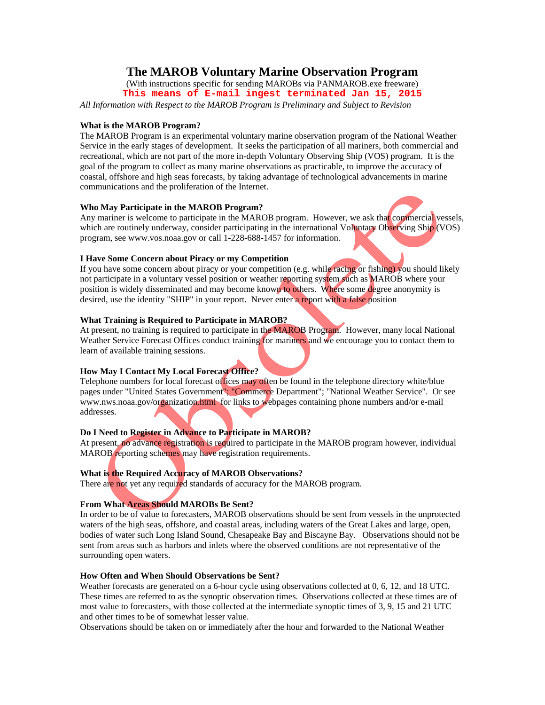# **The MAROB Voluntary Marine Observation Program**

(With instructions specific for sending MAROBs via PANMAROB.exe freeware) **This means of E-mail ingest terminated Jan 15, 2015**

*All Information with Respect to the MAROB Program is Preliminary and Subject to Revision*

#### **What is the MAROB Program?**

The MAROB Program is an experimental voluntary marine observation program of the National Weather Service in the early stages of development. It seeks the participation of all mariners, both commercial and recreational, which are not part of the more in-depth Voluntary Observing Ship (VOS) program. It is the goal of the program to collect as many marine observations as practicable, to improve the accuracy of coastal, offshore and high seas forecasts, by taking advantage of technological advancements in marine communications and the proliferation of the Internet.

#### **Who May Participate in the MAROB Program?**

Any mariner is welcome to participate in the MAROB program. However, we ask that commercial vessels, which are routinely underway, consider participating in the international Voluntary Observing Ship (VOS) program, see www.vos.noaa.gov or call 1-228-688-1457 for information.

#### **I Have Some Concern about Piracy or my Competition**

If you have some concern about piracy or your competition (e.g. while racing or fishing) you should likely not participate in a voluntary vessel position or weather reporting system such as MAROB where your position is widely disseminated and may become known to others. Where some degree anonymity is desired, use the identity "SHIP" in your report. Never enter a report with a false position

# **What Training is Required to Participate in MAROB?**

At present, no training is required to participate in the MAROB Program. However, many local National Weather Service Forecast Offices conduct training for mariners and we encourage you to contact them to learn of available training sessions.

# **How May I Contact My Local Forecast Office?**

Telephone numbers for local forecast offices may often be found in the telephone directory white/blue pages under "United States Government"; "Commerce Department"; "National Weather Service". Or see www.nws.noaa.gov/organization.html for links to webpages containing phone numbers and/or e-mail addresses.

# **Do I Need to Register in Advance to Participate in MAROB?**

At present, no advance registration is required to participate in the MAROB program however, individual MAROB reporting schemes may have registration requirements.

# **What is the Required Accuracy of MAROB Observations?**

There are not yet any required standards of accuracy for the MAROB program.

# **From What Areas Should MAROBs Be Sent?**

In order to be of value to forecasters, MAROB observations should be sent from vessels in the unprotected waters of the high seas, offshore, and coastal areas, including waters of the Great Lakes and large, open, bodies of water such Long Island Sound, Chesapeake Bay and Biscayne Bay. Observations should not be sent from areas such as harbors and inlets where the observed conditions are not representative of the surrounding open waters.

# **How Often and When Should Observations be Sent?**

Weather forecasts are generated on a 6-hour cycle using observations collected at 0, 6, 12, and 18 UTC. These times are referred to as the synoptic observation times. Observations collected at these times are of most value to forecasters, with those collected at the intermediate synoptic times of 3, 9, 15 and 21 UTC and other times to be of somewhat lesser value.

Observations should be taken on or immediately after the hour and forwarded to the National Weather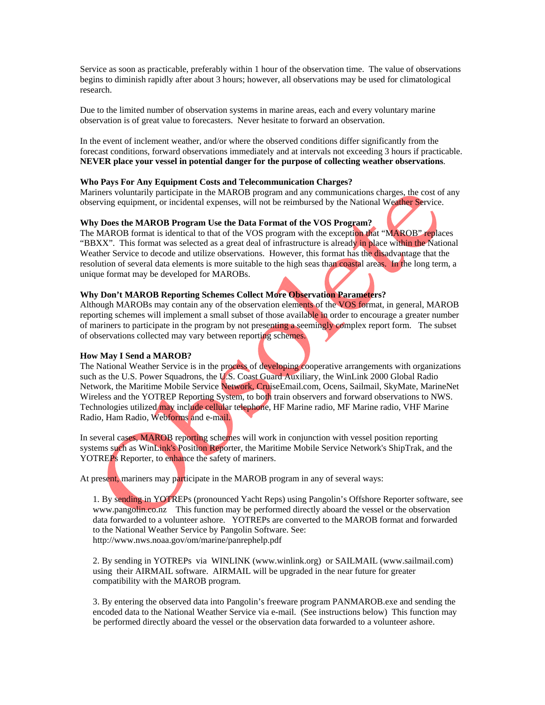Service as soon as practicable, preferably within 1 hour of the observation time. The value of observations begins to diminish rapidly after about 3 hours; however, all observations may be used for climatological research.

Due to the limited number of observation systems in marine areas, each and every voluntary marine observation is of great value to forecasters. Never hesitate to forward an observation.

In the event of inclement weather, and/or where the observed conditions differ significantly from the forecast conditions, forward observations immediately and at intervals not exceeding 3 hours if practicable. **NEVER place your vessel in potential danger for the purpose of collecting weather observations**.

#### **Who Pays For Any Equipment Costs and Telecommunication Charges?**

Mariners voluntarily participate in the MAROB program and any communications charges, the cost of any observing equipment, or incidental expenses, will not be reimbursed by the National Weather Service.

#### **Why Does the MAROB Program Use the Data Format of the VOS Program?**

The MAROB format is identical to that of the VOS program with the exception that "MAROB" replaces "BBXX". This format was selected as a great deal of infrastructure is already in place within the National Weather Service to decode and utilize observations. However, this format has the disadvantage that the resolution of several data elements is more suitable to the high seas than coastal areas. In the long term, a unique format may be developed for MAROBs.

#### **Why Don't MAROB Reporting Schemes Collect More Observation Parameters?**

Although MAROBs may contain any of the observation elements of the VOS format, in general, MAROB reporting schemes will implement a small subset of those available in order to encourage a greater number of mariners to participate in the program by not presenting a seemingly complex report form. The subset of observations collected may vary between reporting schemes.

#### **How May I Send a MAROB?**

The National Weather Service is in the process of developing cooperative arrangements with organizations such as the U.S. Power Squadrons, the U.S. Coast Guard Auxiliary, the WinLink 2000 Global Radio Network, the Maritime Mobile Service Network, CruiseEmail.com, Ocens, Sailmail, SkyMate, MarineNet Wireless and the YOTREP Reporting System, to both train observers and forward observations to NWS. Technologies utilized may include cellular telephone, HF Marine radio, MF Marine radio, VHF Marine Radio, Ham Radio, Webforms and e-mail.

In several cases, MAROB reporting schemes will work in conjunction with vessel position reporting systems such as WinLink's Position Reporter, the Maritime Mobile Service Network's ShipTrak, and the YOTREPs Reporter, to enhance the safety of mariners.

At present, mariners may participate in the MAROB program in any of several ways:

1. By sending in YOTREPs (pronounced Yacht Reps) using Pangolin's Offshore Reporter software, see www.pangolin.co.nz This function may be performed directly aboard the vessel or the observation data forwarded to a volunteer ashore. YOTREPs are converted to the MAROB format and forwarded to the National Weather Service by Pangolin Software. See: http://www.nws.noaa.gov/om/marine/panrephelp.pdf

2. By sending in YOTREPs via WINLINK (www.winlink.org) or SAILMAIL (www.sailmail.com) using their AIRMAIL software. AIRMAIL will be upgraded in the near future for greater compatibility with the MAROB program.

3. By entering the observed data into Pangolin's freeware program PANMAROB.exe and sending the encoded data to the National Weather Service via e-mail. (See instructions below) This function may be performed directly aboard the vessel or the observation data forwarded to a volunteer ashore.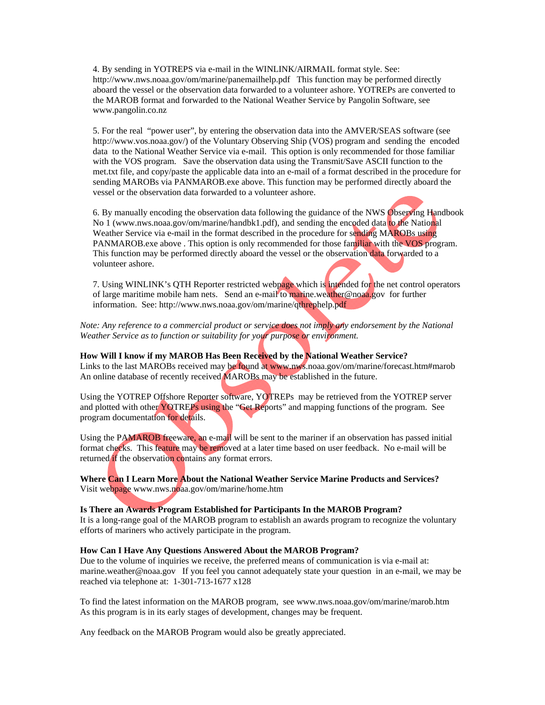4. By sending in YOTREPS via e-mail in the WINLINK/AIRMAIL format style. See: http://www.nws.noaa.gov/om/marine/panemailhelp.pdf This function may be performed directly aboard the vessel or the observation data forwarded to a volunteer ashore. YOTREPs are converted to the MAROB format and forwarded to the National Weather Service by Pangolin Software, see www.pangolin.co.nz

5. For the real "power user", by entering the observation data into the AMVER/SEAS software (see http://www.vos.noaa.gov/) of the Voluntary Observing Ship (VOS) program and sending the encoded data to the National Weather Service via e-mail. This option is only recommended for those familiar with the VOS program. Save the observation data using the Transmit/Save ASCII function to the met.txt file, and copy/paste the applicable data into an e-mail of a format described in the procedure for sending MAROBs via PANMAROB.exe above. This function may be performed directly aboard the vessel or the observation data forwarded to a volunteer ashore.

6. By manually encoding the observation data following the guidance of the NWS Observing Handbook No 1 (www.nws.noaa.gov/om/marine/handbk1.pdf), and sending the encoded data to the National Weather Service via e-mail in the format described in the procedure for sending MAROBs using PANMAROB.exe above . This option is only recommended for those familiar with the VOS program. This function may be performed directly aboard the vessel or the observation data forwarded to a volunteer ashore.

7. Using WINLINK's QTH Reporter restricted webpage which is intended for the net control operators of large maritime mobile ham nets. Send an e-mail to marine.weather@noaa.gov for further information. See: http://www.nws.noaa.gov/om/marine/qthrephelp.pdf

*Note: Any reference to a commercial product or service does not imply any endorsement by the National Weather Service as to function or suitability for your purpose or environment.* 

#### **How Will I know if my MAROB Has Been Received by the National Weather Service?**

Links to the last MAROBs received may be found at www.nws.noaa.gov/om/marine/forecast.htm#marob An online database of recently received MAROBs may be established in the future.

Using the YOTREP Offshore Reporter software, YOTREPs may be retrieved from the YOTREP server and plotted with other YOTREPs using the "Get Reports" and mapping functions of the program. See program documentation for details.

Using the PAMAROB freeware, an e-mail will be sent to the mariner if an observation has passed initial format checks. This feature may be removed at a later time based on user feedback. No e-mail will be returned if the observation contains any format errors.

**Where Can I Learn More About the National Weather Service Marine Products and Services?** Visit webpage www.nws.noaa.gov/om/marine/home.htm

#### **Is There an Awards Program Established for Participants In the MAROB Program?**

It is a long-range goal of the MAROB program to establish an awards program to recognize the voluntary efforts of mariners who actively participate in the program.

#### **How Can I Have Any Questions Answered About the MAROB Program?**

Due to the volume of inquiries we receive, the preferred means of communication is via e-mail at: marine.weather@noaa.gov If you feel you cannot adequately state your question in an e-mail, we may be reached via telephone at: 1-301-713-1677 x128

To find the latest information on the MAROB program, see www.nws.noaa.gov/om/marine/marob.htm As this program is in its early stages of development, changes may be frequent.

Any feedback on the MAROB Program would also be greatly appreciated.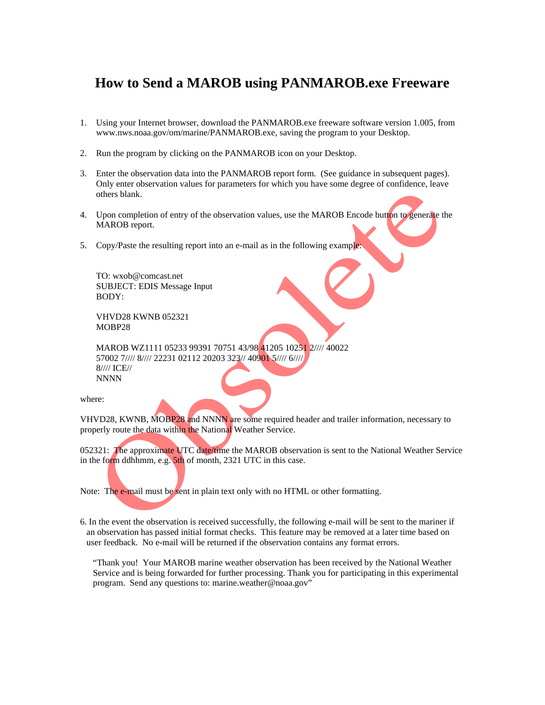# **How to Send a MAROB using PANMAROB.exe Freeware**

- 1. Using your Internet browser, download the PANMAROB.exe freeware software version 1.005, from www.nws.noaa.gov/om/marine/PANMAROB.exe, saving the program to your Desktop.
- 2. Run the program by clicking on the PANMAROB icon on your Desktop.
- 3. Enter the observation data into the PANMAROB report form. (See guidance in subsequent pages). Only enter observation values for parameters for which you have some degree of confidence, leave others blank.
- 4. Upon completion of entry of the observation values, use the MAROB Encode button to generate the MAROB report.
- 5. Copy/Paste the resulting report into an e-mail as in the following example

TO: wxob@comcast.net SUBJECT: EDIS Message Input BODY:

VHVD28 KWNB 052321 MOBP28

MAROB WZ1111 05233 99391 70751 43/98 41205 10251 2//// 40022 57002 7//// 8//// 22231 02112 20203 323// 40901 5//// 6//// 8//// ICE// NNNN

where:

VHVD28, KWNB, MOBP28 and NNNN are some required header and trailer information, necessary to properly route the data within the National Weather Service.

052321: The approximate UTC date/time the MAROB observation is sent to the National Weather Service in the form ddhhmm, e.g. 5th of month, 2321 UTC in this case.

Note: The e-mail must be sent in plain text only with no HTML or other formatting.

6. In the event the observation is received successfully, the following e-mail will be sent to the mariner if an observation has passed initial format checks. This feature may be removed at a later time based on user feedback. No e-mail will be returned if the observation contains any format errors.

"Thank you! Your MAROB marine weather observation has been received by the National Weather Service and is being forwarded for further processing. Thank you for participating in this experimental program. Send any questions to: marine.weather@noaa.gov"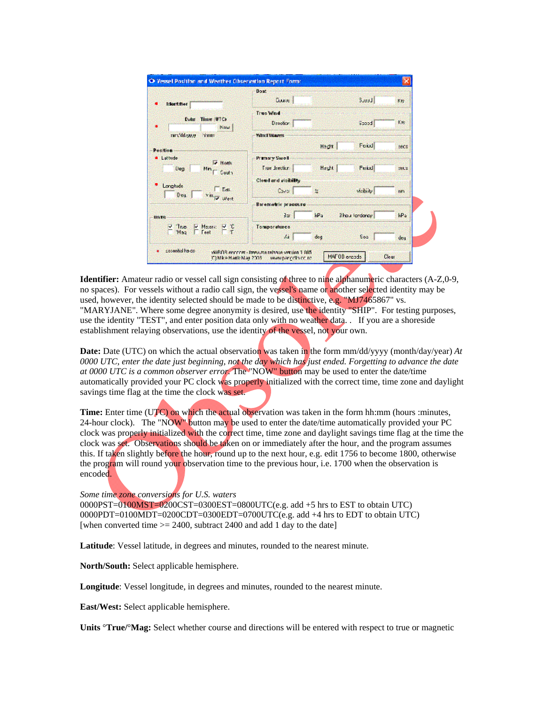|                                                                      | <b>Dowt</b><br>Double :    |               | <b>Buddle</b>    | Kity  |
|----------------------------------------------------------------------|----------------------------|---------------|------------------|-------|
| <b>Information</b>                                                   |                            |               |                  |       |
|                                                                      | <b>Truo Wind</b>           |               |                  |       |
| Time (UTC)<br><b>Date</b><br>Now.                                    | Direction                  |               | Boood            | Eis   |
| mm/ddzwze<br><b>CONTENT</b>                                          | <b>Wind Waves</b>          |               |                  |       |
|                                                                      |                            |               |                  |       |
| <b>Position</b>                                                      |                            | Hech          | Feird            | secs  |
| <b>4</b> Lattude                                                     | <b>Pramary Swell</b>       |               |                  |       |
| <b>IT Hoth</b><br>Deg<br>Min <sub>I</sub> Couth                      | True drection              | Herts.        | <b>Feital</b>    | zet s |
|                                                                      | Cloud and visibility       |               |                  |       |
| Longitude:<br>$\Box$ Eas.<br>Deq.<br><b>Yal<sub>ly</sub></b> West    | Caya 1                     | $\mathcal{M}$ | vicibility       | nm    |
|                                                                      | <b>Baremetric processe</b> |               |                  |       |
| <b>IIn Fe</b>                                                        | 3 <sub>2</sub>             | kPs:          | 3 hour liandamay | kPa   |
| $\frac{v}{r}$ Thus $\frac{v}{r}$ Mesers: $\frac{v}{r}$ $\frac{v}{r}$ | Tomporaturea               |               |                  |       |
|                                                                      | Ai.                        | deg           | Soa              | deu   |

**Identifier:** Amateur radio or vessel call sign consisting of three to nine alphanumeric characters (A-Z,0-9, no spaces). For vessels without a radio call sign, the vessel's name or another selected identity may be used, however, the identity selected should be made to be distinctive, e.g. "MJ7465867" vs. "MARYJANE". Where some degree anonymity is desired, use the identity "SHIP". For testing purposes, use the identity "TEST", and enter position data only with no weather data. . If you are a shoreside establishment relaying observations, use the identity of the vessel, not your own.

**Date:** Date (UTC) on which the actual observation was taken in the form mm/dd/yyyy (month/day/year) *At 0000 UTC, enter the date just beginning, not the day which has just ended. Forgetting to advance the date at 0000 UTC is a common observer error.* The "NOW" button may be used to enter the date/time automatically provided your PC clock was properly initialized with the correct time, time zone and daylight savings time flag at the time the clock was set.

**Time:** Enter time (UTC) on which the actual observation was taken in the form hh:mm (hours :minutes, 24-hour clock). The "NOW" button may be used to enter the date/time automatically provided your PC clock was properly initialized with the correct time, time zone and daylight savings time flag at the time the clock was set. Observations should be taken on or immediately after the hour, and the program assumes this. If taken slightly before the hour, round up to the next hour, e.g. edit 1756 to become 1800, otherwise the program will round your observation time to the previous hour, i.e. 1700 when the observation is encoded.

*Some time zone conversions for U.S. waters*

 $0000PST = 0100MST = 0200CST = 0300EST = 0800UTC$  (e.g. add +5 hrs to EST to obtain UTC) 0000PDT=0100MDT=0200CDT=0300EDT=0700UTC(e.g. add +4 hrs to EDT to obtain UTC) [when converted time  $\geq$  2400, subtract 2400 and add 1 day to the date]

**Latitude**: Vessel latitude, in degrees and minutes, rounded to the nearest minute.

**North/South:** Select applicable hemisphere.

**Longitude**: Vessel longitude, in degrees and minutes, rounded to the nearest minute.

**East/West:** Select applicable hemisphere.

**Units** °**True/**°**Mag:** Select whether course and directions will be entered with respect to true or magnetic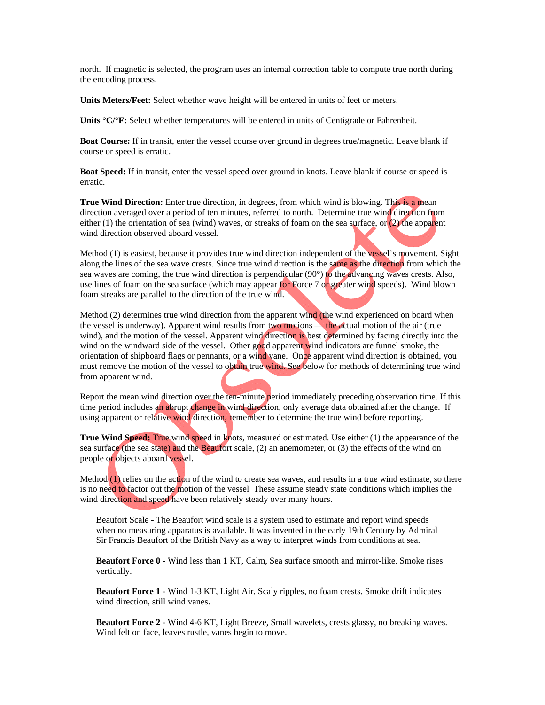north. If magnetic is selected, the program uses an internal correction table to compute true north during the encoding process.

**Units Meters/Feet:** Select whether wave height will be entered in units of feet or meters.

**Units** °**C/**°**F:** Select whether temperatures will be entered in units of Centigrade or Fahrenheit.

**Boat Course:** If in transit, enter the vessel course over ground in degrees true/magnetic. Leave blank if course or speed is erratic.

**Boat Speed:** If in transit, enter the vessel speed over ground in knots. Leave blank if course or speed is erratic.

**True Wind Direction:** Enter true direction, in degrees, from which wind is blowing. This is a mean direction averaged over a period of ten minutes, referred to north. Determine true wind direction from either (1) the orientation of sea (wind) waves, or streaks of foam on the sea surface, or (2) the apparent wind direction observed aboard vessel.

Method (1) is easiest, because it provides true wind direction independent of the vessel's movement. Sight along the lines of the sea wave crests. Since true wind direction is the same as the direction from which the sea waves are coming, the true wind direction is perpendicular (90°) to the advancing waves crests. Also, use lines of foam on the sea surface (which may appear for Force 7 or greater wind speeds). Wind blown foam streaks are parallel to the direction of the true wind.

Method (2) determines true wind direction from the apparent wind (the wind experienced on board when the vessel is underway). Apparent wind results from two motions — the actual motion of the air (true wind), and the motion of the vessel. Apparent wind direction is best determined by facing directly into the wind on the windward side of the vessel. Other good apparent wind indicators are funnel smoke, the orientation of shipboard flags or pennants, or a wind vane. Once apparent wind direction is obtained, you must remove the motion of the vessel to obtain true wind. See below for methods of determining true wind from apparent wind.

Report the mean wind direction over the ten-minute period immediately preceding observation time. If this time period includes an abrupt change in wind direction, only average data obtained after the change. If using apparent or relative wind direction, remember to determine the true wind before reporting.

**True Wind Speed:** True wind speed in knots, measured or estimated. Use either (1) the appearance of the sea surface (the sea state) and the Beaufort scale, (2) an anemometer, or (3) the effects of the wind on people or objects aboard vessel.

Method (1) relies on the action of the wind to create sea waves, and results in a true wind estimate, so there is no need to factor out the motion of the vessel These assume steady state conditions which implies the wind direction and speed have been relatively steady over many hours.

Beaufort Scale - The Beaufort wind scale is a system used to estimate and report wind speeds when no measuring apparatus is available. It was invented in the early 19th Century by Admiral Sir Francis Beaufort of the British Navy as a way to interpret winds from conditions at sea.

**Beaufort Force 0** - Wind less than 1 KT, Calm, Sea surface smooth and mirror-like. Smoke rises vertically.

**Beaufort Force 1** - Wind 1-3 KT, Light Air, Scaly ripples, no foam crests. Smoke drift indicates wind direction, still wind vanes.

**Beaufort Force 2** - Wind 4-6 KT, Light Breeze, Small wavelets, crests glassy, no breaking waves. Wind felt on face, leaves rustle, vanes begin to move.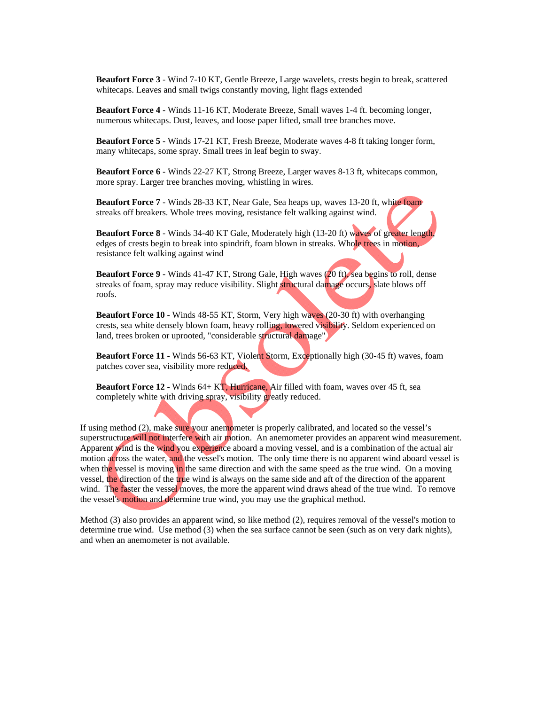**Beaufort Force 3** - Wind 7-10 KT, Gentle Breeze, Large wavelets, crests begin to break, scattered whitecaps. Leaves and small twigs constantly moving, light flags extended

**Beaufort Force 4** - Winds 11-16 KT, Moderate Breeze, Small waves 1-4 ft. becoming longer, numerous whitecaps. Dust, leaves, and loose paper lifted, small tree branches move.

**Beaufort Force 5** - Winds 17-21 KT, Fresh Breeze, Moderate waves 4-8 ft taking longer form, many whitecaps, some spray. Small trees in leaf begin to sway.

**Beaufort Force 6** - Winds 22-27 KT, Strong Breeze, Larger waves 8-13 ft, whitecaps common, more spray. Larger tree branches moving, whistling in wires.

**Beaufort Force 7** - Winds 28-33 KT, Near Gale, Sea heaps up, waves 13-20 ft, white foam streaks off breakers. Whole trees moving, resistance felt walking against wind.

**Beaufort Force 8** - Winds 34-40 KT Gale, Moderately high (13-20 ft) waves of greater length, edges of crests begin to break into spindrift, foam blown in streaks. Whole trees in motion, resistance felt walking against wind

**Beaufort Force 9** - Winds 41-47 KT, Strong Gale, High waves (20 ft), sea begins to roll, dense streaks of foam, spray may reduce visibility. Slight structural damage occurs, slate blows off roofs.

**Beaufort Force 10** - Winds 48-55 KT, Storm, Very high waves (20-30 ft) with overhanging crests, sea white densely blown foam, heavy rolling, lowered visibility. Seldom experienced on land, trees broken or uprooted, "considerable structural damage"

**Beaufort Force 11** - Winds 56-63 KT, Violent Storm, Exceptionally high (30-45 ft) waves, foam patches cover sea, visibility more reduced.

**Beaufort Force 12** - Winds 64+ KT, Hurricane, Air filled with foam, waves over 45 ft, sea completely white with driving spray, visibility greatly reduced.

If using method (2), make sure your anemometer is properly calibrated, and located so the vessel's superstructure will not interfere with air motion. An anemometer provides an apparent wind measurement. Apparent wind is the wind you experience aboard a moving vessel, and is a combination of the actual air motion across the water, and the vessel's motion. The only time there is no apparent wind aboard vessel is when the yessel is moving in the same direction and with the same speed as the true wind. On a moving vessel, the direction of the true wind is always on the same side and aft of the direction of the apparent wind. The faster the vessel moves, the more the apparent wind draws ahead of the true wind. To remove the vessel's motion and determine true wind, you may use the graphical method.

Method (3) also provides an apparent wind, so like method (2), requires removal of the vessel's motion to determine true wind. Use method (3) when the sea surface cannot be seen (such as on very dark nights), and when an anemometer is not available.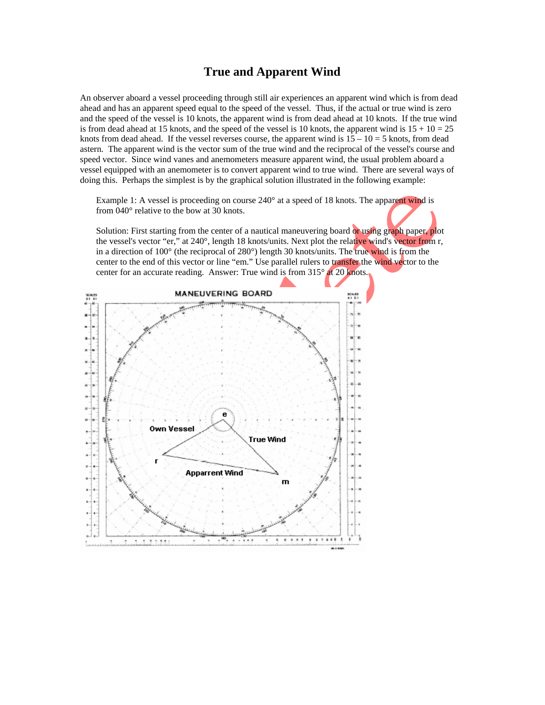# **True and Apparent Wind**

An observer aboard a vessel proceeding through still air experiences an apparent wind which is from dead ahead and has an apparent speed equal to the speed of the vessel. Thus, if the actual or true wind is zero and the speed of the vessel is 10 knots, the apparent wind is from dead ahead at 10 knots. If the true wind is from dead ahead at 15 knots, and the speed of the vessel is 10 knots, the apparent wind is  $15 + 10 = 25$ knots from dead ahead. If the vessel reverses course, the apparent wind is  $15 - 10 = 5$  knots, from dead astern. The apparent wind is the vector sum of the true wind and the reciprocal of the vessel's course and speed vector. Since wind vanes and anemometers measure apparent wind, the usual problem aboard a vessel equipped with an anemometer is to convert apparent wind to true wind. There are several ways of doing this. Perhaps the simplest is by the graphical solution illustrated in the following example:

Example 1: A vessel is proceeding on course 240° at a speed of 18 knots. The apparent wind is from 040° relative to the bow at 30 knots.

Solution: First starting from the center of a nautical maneuvering board or using graph paper, plot the vessel's vector "er," at 240°, length 18 knots/units. Next plot the relative wind's vector from r, in a direction of 100° (the reciprocal of 280°) length 30 knots/units. The true wind is from the center to the end of this vector or line "em." Use parallel rulers to transfer the wind vector to the center for an accurate reading. Answer: True wind is from 315° at 20 knots.

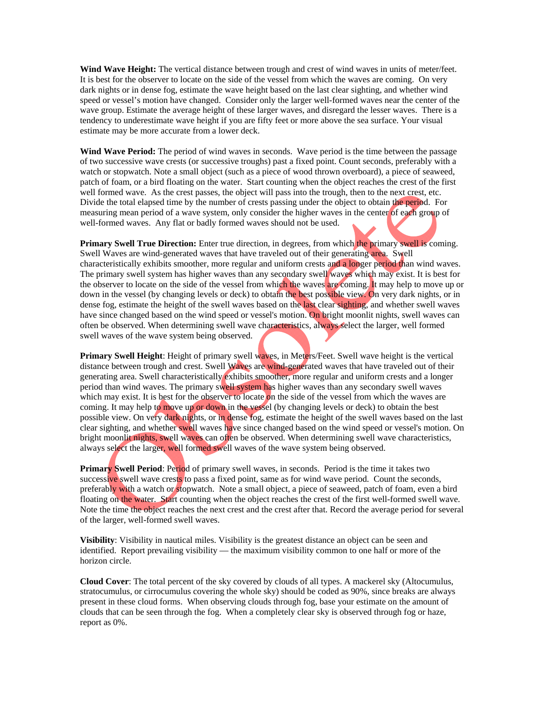**Wind Wave Height:** The vertical distance between trough and crest of wind waves in units of meter/feet. It is best for the observer to locate on the side of the vessel from which the waves are coming. On very dark nights or in dense fog, estimate the wave height based on the last clear sighting, and whether wind speed or vessel's motion have changed. Consider only the larger well-formed waves near the center of the wave group. Estimate the average height of these larger waves, and disregard the lesser waves. There is a tendency to underestimate wave height if you are fifty feet or more above the sea surface. Your visual estimate may be more accurate from a lower deck.

**Wind Wave Period:** The period of wind waves in seconds. Wave period is the time between the passage of two successive wave crests (or successive troughs) past a fixed point. Count seconds, preferably with a watch or stopwatch. Note a small object (such as a piece of wood thrown overboard), a piece of seaweed, patch of foam, or a bird floating on the water. Start counting when the object reaches the crest of the first well formed wave. As the crest passes, the object will pass into the trough, then to the next crest, etc. Divide the total elapsed time by the number of crests passing under the object to obtain the period. For measuring mean period of a wave system, only consider the higher waves in the center of each group of well-formed waves. Any flat or badly formed waves should not be used.

**Primary Swell True Direction:** Enter true direction, in degrees, from which the primary swell is coming. Swell Waves are wind-generated waves that have traveled out of their generating area. Swell characteristically exhibits smoother, more regular and uniform crests and a longer period than wind waves. The primary swell system has higher waves than any secondary swell waves which may exist. It is best for the observer to locate on the side of the vessel from which the waves are coming. It may help to move up or down in the vessel (by changing levels or deck) to obtain the best possible view. On very dark nights, or in dense fog, estimate the height of the swell waves based on the last clear sighting, and whether swell waves have since changed based on the wind speed or vessel's motion. On bright moonlit nights, swell waves can often be observed. When determining swell wave characteristics, always select the larger, well formed swell waves of the wave system being observed.

**Primary Swell Height**: Height of primary swell waves, in Meters/Feet. Swell wave height is the vertical distance between trough and crest. Swell Waves are wind-generated waves that have traveled out of their generating area. Swell characteristically exhibits smoother, more regular and uniform crests and a longer period than wind waves. The primary swell system has higher waves than any secondary swell waves which may exist. It is best for the observer to locate on the side of the vessel from which the waves are coming. It may help to move up or down in the vessel (by changing levels or deck) to obtain the best possible view. On very dark nights, or in dense fog, estimate the height of the swell waves based on the last clear sighting, and whether swell waves have since changed based on the wind speed or vessel's motion. On bright moonlit nights, swell waves can often be observed. When determining swell wave characteristics, always select the larger, well formed swell waves of the wave system being observed.

**Primary Swell Period:** Period of primary swell waves, in seconds. Period is the time it takes two successive swell wave crests to pass a fixed point, same as for wind wave period. Count the seconds, preferably with a watch or stopwatch. Note a small object, a piece of seaweed, patch of foam, even a bird floating on the water. Start counting when the object reaches the crest of the first well-formed swell wave. Note the time the object reaches the next crest and the crest after that. Record the average period for several of the larger, well-formed swell waves.

**Visibility**: Visibility in nautical miles. Visibility is the greatest distance an object can be seen and identified. Report prevailing visibility — the maximum visibility common to one half or more of the horizon circle.

**Cloud Cover**: The total percent of the sky covered by clouds of all types. A mackerel sky (Altocumulus, stratocumulus, or cirrocumulus covering the whole sky) should be coded as 90%, since breaks are always present in these cloud forms. When observing clouds through fog, base your estimate on the amount of clouds that can be seen through the fog. When a completely clear sky is observed through fog or haze, report as 0%.